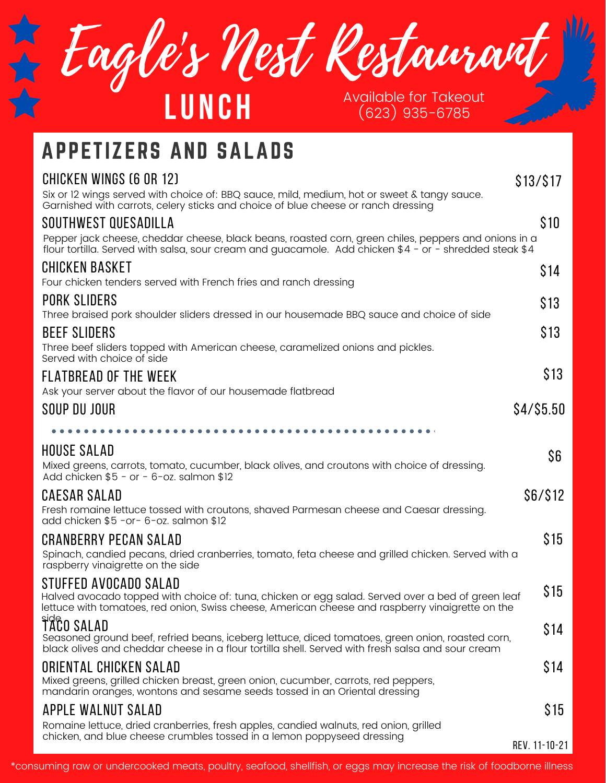Eagle's Nest Restaurant **LU N C H** Available for Takeout (623) 935-6785

## APPETIZERS AND SALADS

| <b>CHICKEN WINGS (6 OR 12)</b>                                                                                                                                                                                 | \$13/\$17     |
|----------------------------------------------------------------------------------------------------------------------------------------------------------------------------------------------------------------|---------------|
| Six or 12 wings served with choice of: BBQ sauce, mild, medium, hot or sweet & tangy sauce.<br>Garnished with carrots, celery sticks and choice of blue cheese or ranch dressing                               |               |
| SOUTHWEST QUESADILLA                                                                                                                                                                                           | \$10          |
| Pepper jack cheese, cheddar cheese, black beans, roasted corn, green chiles, peppers and onions in a<br>flour tortilla. Served with salsa, sour cream and guacamole. Add chicken \$4 - or - shredded steak \$4 |               |
| CHICKEN BASKET<br>Four chicken tenders served with French fries and ranch dressing                                                                                                                             | \$14          |
| PORK SLIDERS                                                                                                                                                                                                   |               |
| Three braised pork shoulder sliders dressed in our housemade BBQ sauce and choice of side                                                                                                                      | \$13          |
| <b>BEEF SLIDERS</b>                                                                                                                                                                                            | \$13          |
| Three beef sliders topped with American cheese, caramelized onions and pickles.<br>Served with choice of side                                                                                                  |               |
| <b>FLATBREAD OF THE WEEK</b>                                                                                                                                                                                   | \$13          |
| Ask your server about the flavor of our housemade flatbread                                                                                                                                                    |               |
| SOUP DU JOUR                                                                                                                                                                                                   | $$4/$ \$5.50  |
|                                                                                                                                                                                                                |               |
| <b>HOUSE SALAD</b>                                                                                                                                                                                             |               |
| Mixed greens, carrots, tomato, cucumber, black olives, and croutons with choice of dressing.<br>Add chicken $$5 - or - 6-oz$ . salmon \$12                                                                     | \$6           |
| CAESAR SALAD                                                                                                                                                                                                   | \$6/\$12      |
| Fresh romaine lettuce tossed with croutons, shaved Parmesan cheese and Caesar dressing.<br>add chicken \$5 -or- 6-oz. salmon \$12                                                                              |               |
| <b>CRANBERRY PECAN SALAD</b>                                                                                                                                                                                   | \$15          |
| Spinach, candied pecans, dried cranberries, tomato, feta cheese and grilled chicken. Served with a<br>raspberry vinaigrette on the side                                                                        |               |
| STUFFED AVOCADO SALAD<br>Halved avocado topped with choice of: tuna, chicken or egg salad. Served over a bed of green leaf                                                                                     | \$15          |
| lettuce with tomatoes, red onion, Swiss cheese, American cheese and raspberry vinaigrette on the                                                                                                               |               |
| TACO SALAD                                                                                                                                                                                                     | \$14          |
| Seasoned ground beef, refried beans, iceberg lettuce, diced tomatoes, green onion, roasted corn,<br>black olives and cheddar cheese in a flour tortilla shell. Served with fresh salsa and sour cream          |               |
| ORIENTAL CHICKEN SALAD                                                                                                                                                                                         | \$14          |
| Mixed greens, grilled chicken breast, green onion, cucumber, carrots, red peppers,<br>mandarin oranges, wontons and sesame seeds tossed in an Oriental dressing                                                |               |
| APPLE WALNUT SALAD                                                                                                                                                                                             | \$15          |
| Romaine lettuce, dried cranberries, fresh apples, candied walnuts, red onion, grilled                                                                                                                          |               |
| chicken, and blue cheese crumbles tossed in a lemon poppyseed dressing                                                                                                                                         | REV. 11-10-21 |

\*consuming raw or undercooked meats, poultry, seafood, shellfish, or eggs may increase the risk of foodborne illness